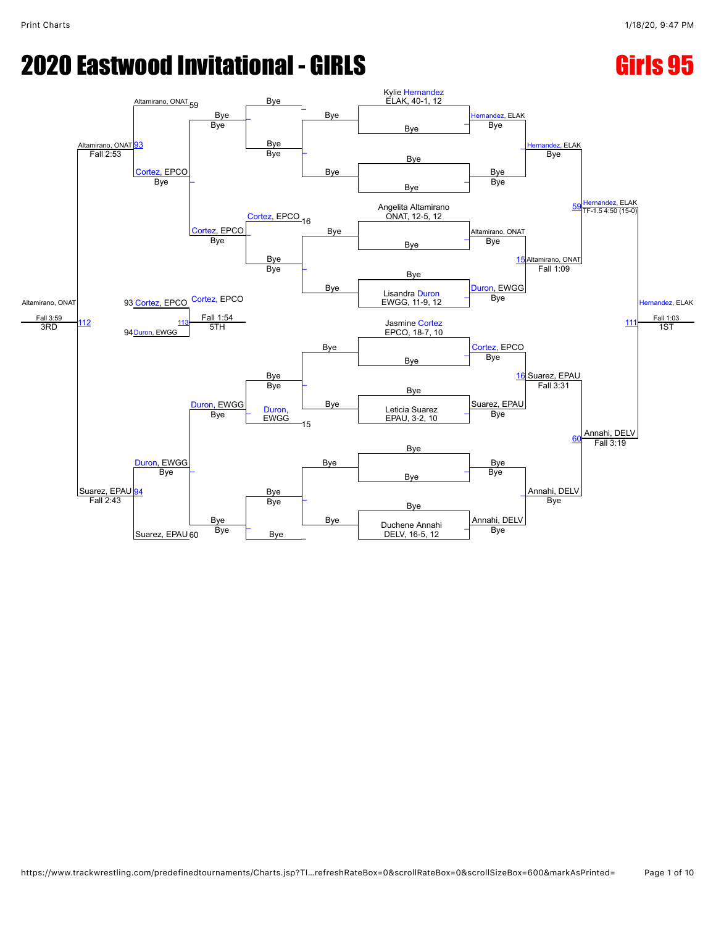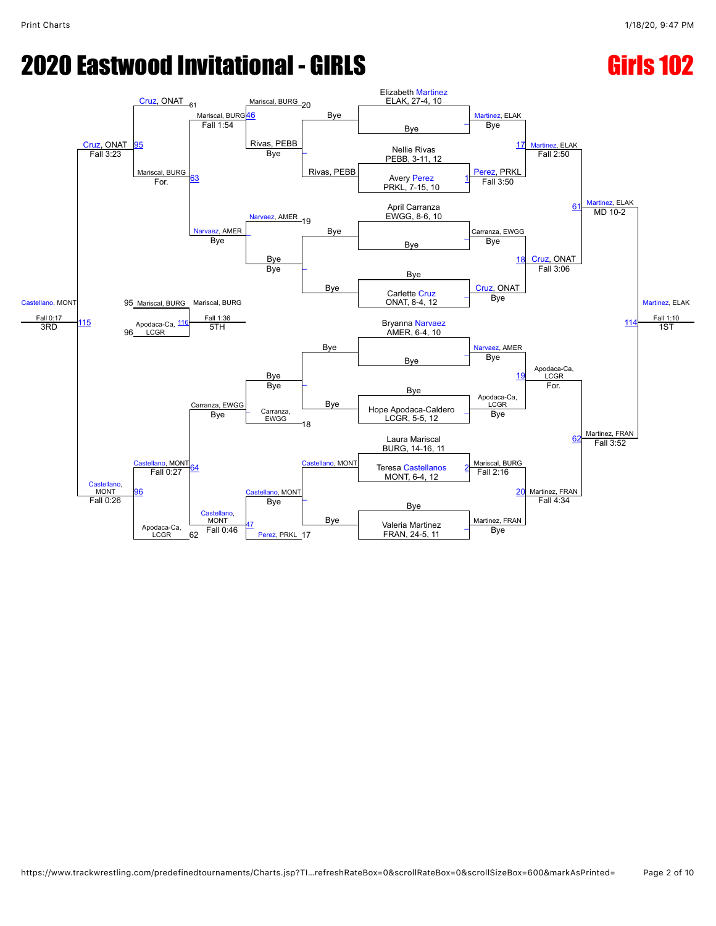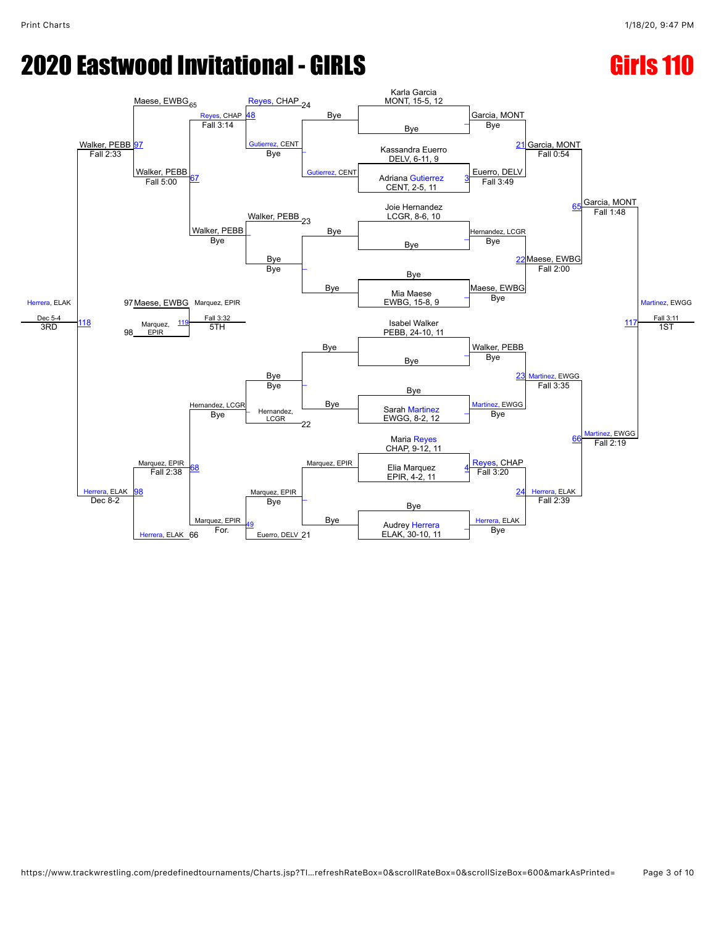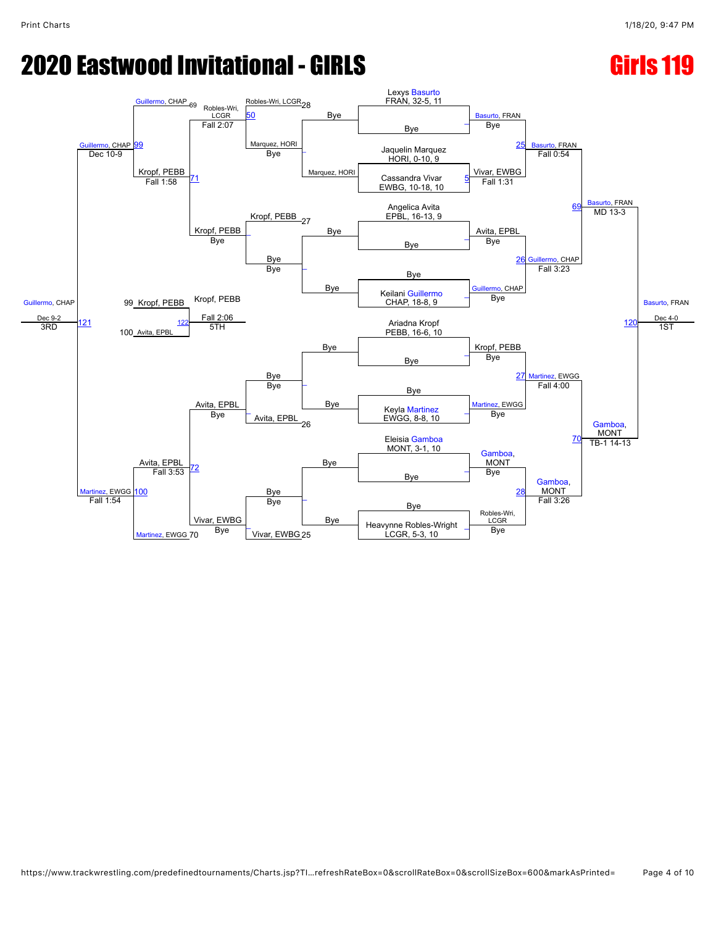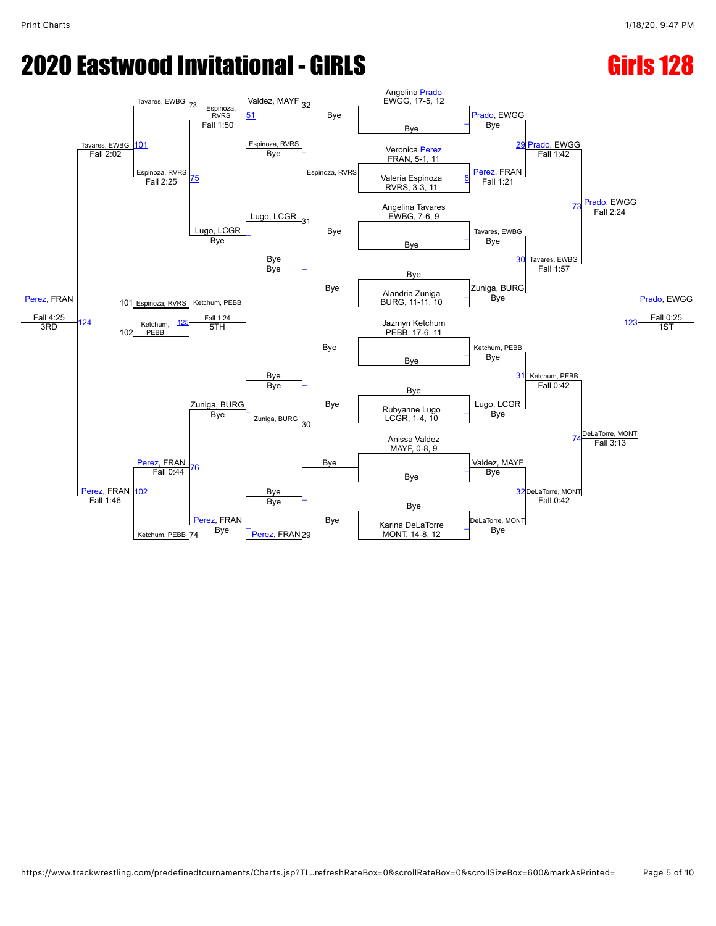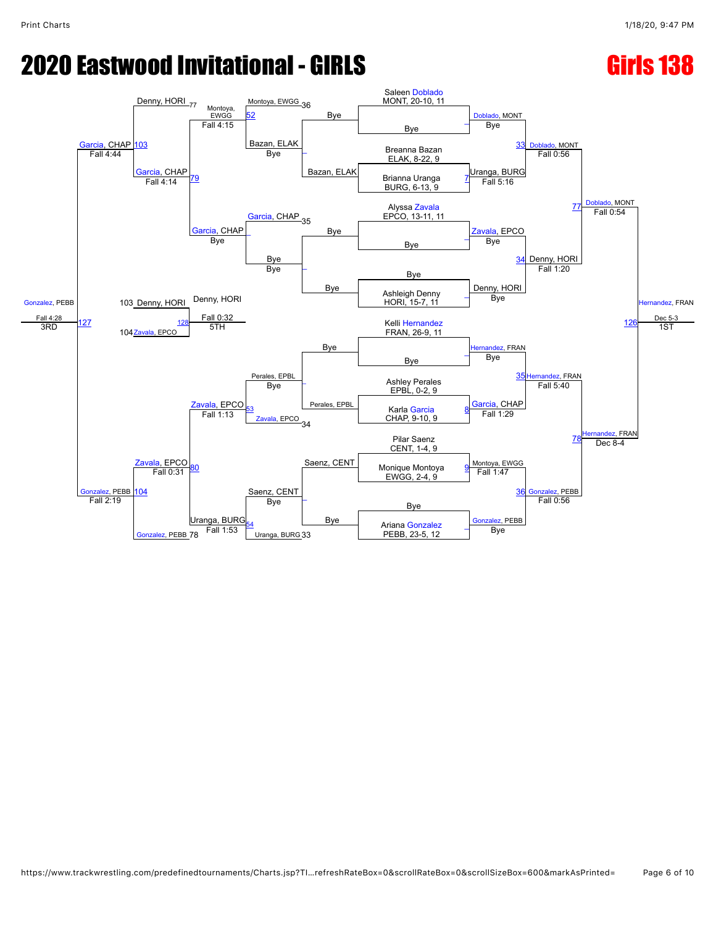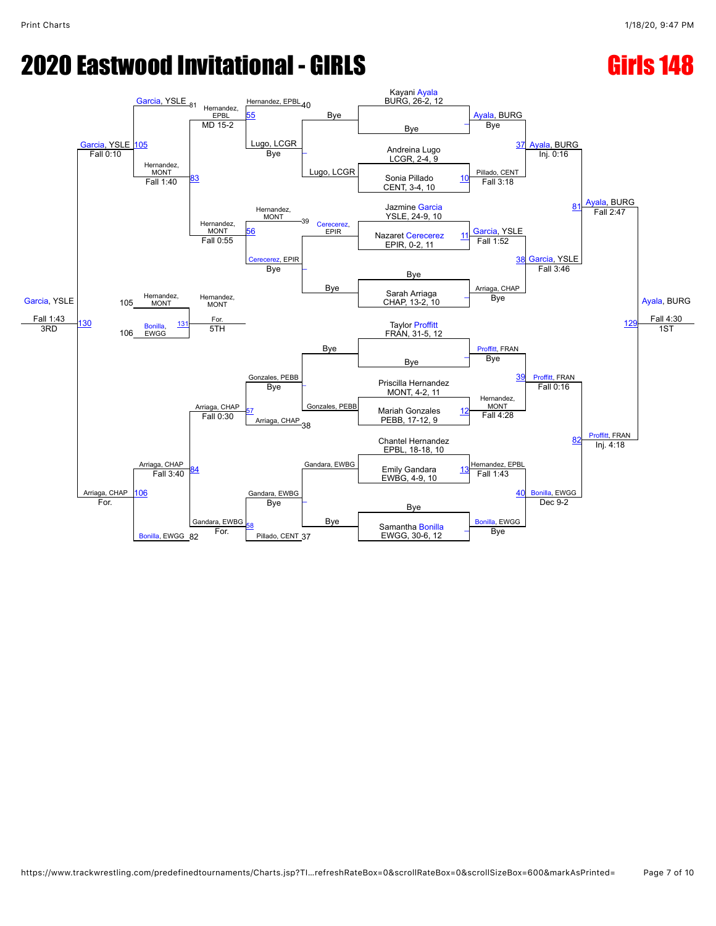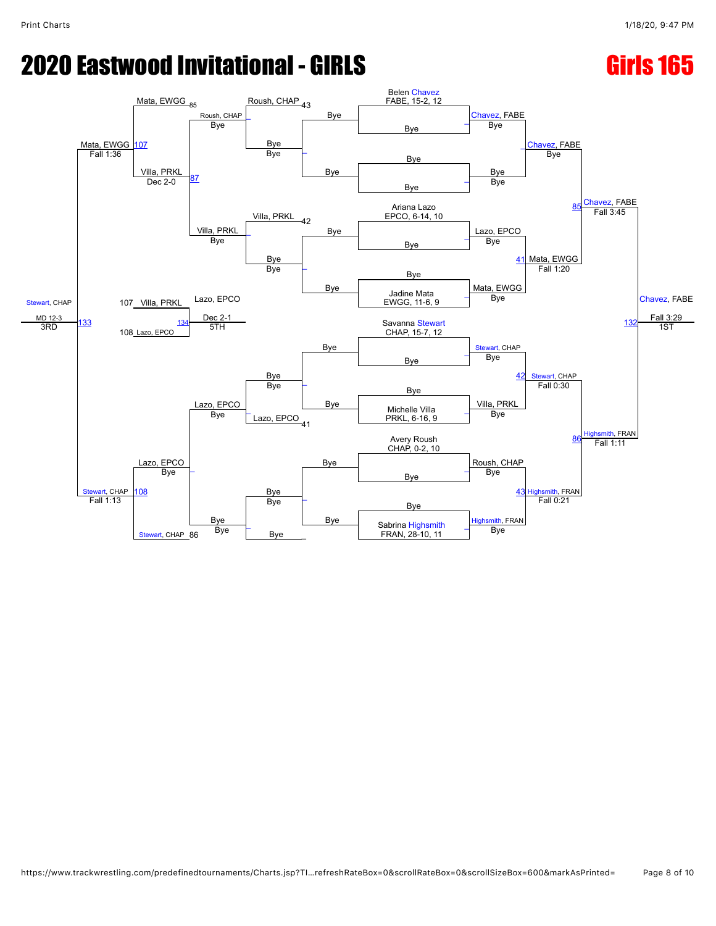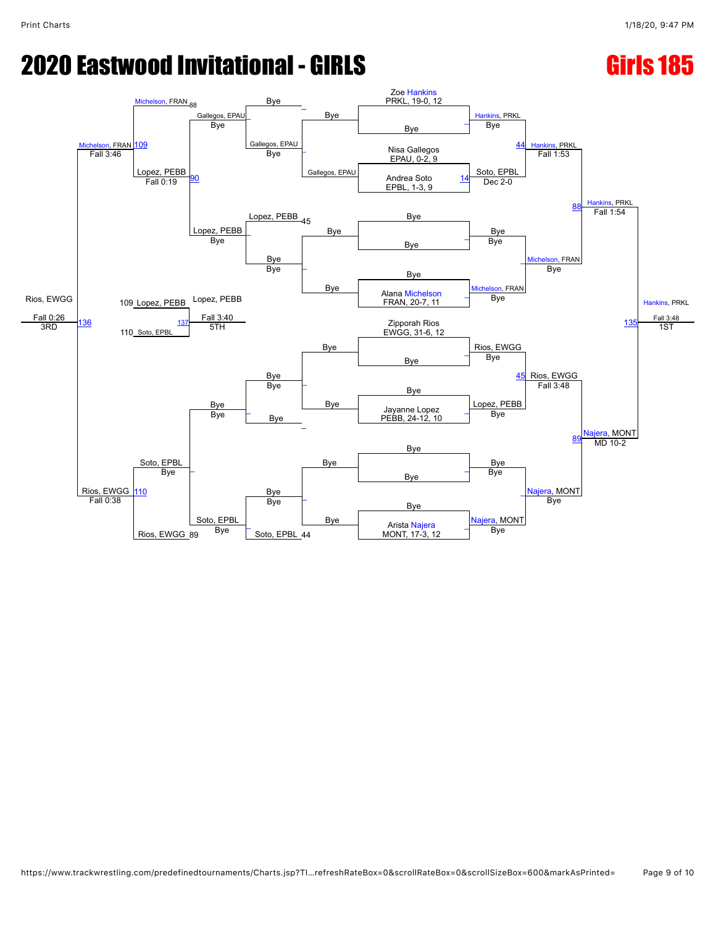